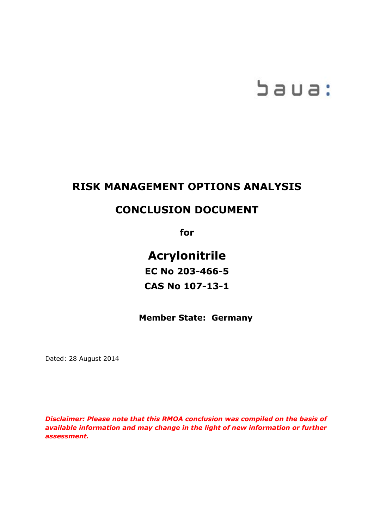# baua:

# **RISK MANAGEMENT OPTIONS ANALYSIS**

## **CONCLUSION DOCUMENT**

**for**

**Acrylonitrile EC No 203-466-5 CAS No 107-13-1**

**Member State: Germany**

Dated: 28 August 2014

*Disclaimer: Please note that this RMOA conclusion was compiled on the basis of available information and may change in the light of new information or further assessment.*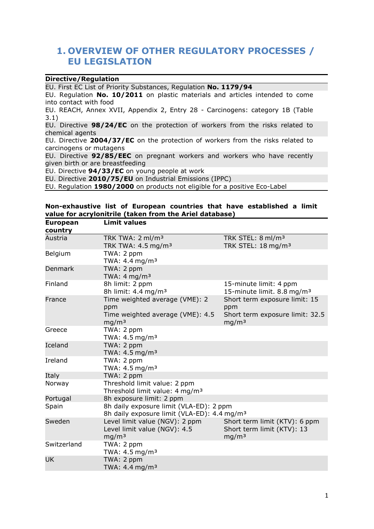## **1. OVERVIEW OF OTHER REGULATORY PROCESSES / EU LEGISLATION**

#### **Directive/Regulation**

EU. First EC List of Priority Substances, Regulation **No. 1179/94**

EU. Regulation **No. 10/2011** on plastic materials and articles intended to come into contact with food

EU. REACH, Annex XVII, Appendix 2, Entry 28 - Carcinogens: category 1B (Table 3.1)

EU. Directive **98/24/EC** on the protection of workers from the risks related to chemical agents

EU. Directive **2004/37/EC** on the protection of workers from the risks related to carcinogens or mutagens

EU. Directive **92/85/EEC** on pregnant workers and workers who have recently given birth or are breastfeeding

EU. Directive **94/33/EC** on young people at work

EU. Directive **2010/75/EU** on Industrial Emissions (IPPC)

EU. Regulation **1980/2000** on products not eligible for a positive Eco-Label

#### **Non-exhaustive list of European countries that have established a limit value for acrylonitrile (taken from the Ariel database)**

| <b>European</b> | <b>Limit values</b>                                     |                                        |
|-----------------|---------------------------------------------------------|----------------------------------------|
| country         |                                                         |                                        |
| Austria         | TRK TWA: 2 ml/m <sup>3</sup>                            | TRK STEL: 8 ml/m <sup>3</sup>          |
|                 | TRK TWA: $4.5 \text{ mg/m}^3$                           | TRK STEL: 18 mg/m <sup>3</sup>         |
| Belgium         | TWA: 2 ppm                                              |                                        |
|                 | TWA: 4.4 mg/m <sup>3</sup>                              |                                        |
| <b>Denmark</b>  | TWA: 2 ppm                                              |                                        |
|                 | TWA: $4 \text{ mg/m}^3$                                 |                                        |
| Finland         | 8h limit: 2 ppm                                         | 15-minute limit: 4 ppm                 |
|                 | 8h limit: 4.4 mg/m <sup>3</sup>                         | 15-minute limit. 8.8 mg/m <sup>3</sup> |
| France          | Time weighted average (VME): 2                          | Short term exposure limit: 15          |
|                 | ppm                                                     | ppm                                    |
|                 | Time weighted average (VME): 4.5                        | Short term exposure limit: 32.5        |
|                 | mg/m <sup>3</sup>                                       | mq/m <sup>3</sup>                      |
| Greece          | TWA: 2 ppm                                              |                                        |
|                 | TWA: 4.5 mg/m <sup>3</sup>                              |                                        |
| Iceland         | TWA: 2 ppm                                              |                                        |
|                 | TWA: 4.5 mg/m <sup>3</sup>                              |                                        |
| Ireland         | TWA: 2 ppm                                              |                                        |
|                 | TWA: $4.5 \text{ mg/m}^3$                               |                                        |
| Italy           | TWA: 2 ppm                                              |                                        |
| Norway          | Threshold limit value: 2 ppm                            |                                        |
|                 | Threshold limit value: 4 mg/m <sup>3</sup>              |                                        |
| Portugal        | 8h exposure limit: 2 ppm                                |                                        |
| Spain           | 8h daily exposure limit (VLA-ED): 2 ppm                 |                                        |
|                 | 8h daily exposure limit (VLA-ED): 4.4 mg/m <sup>3</sup> |                                        |
| Sweden          | Level limit value (NGV): 2 ppm                          | Short term limit (KTV): 6 ppm          |
|                 | Level limit value (NGV): 4.5                            | Short term limit (KTV): 13             |
|                 | mg/m <sup>3</sup>                                       | mg/m <sup>3</sup>                      |
| Switzerland     | TWA: 2 ppm                                              |                                        |
|                 | TWA: $4.5 \text{ mg/m}^3$                               |                                        |
| <b>UK</b>       | TWA: 2 ppm                                              |                                        |
|                 | TWA: 4.4 mg/m <sup>3</sup>                              |                                        |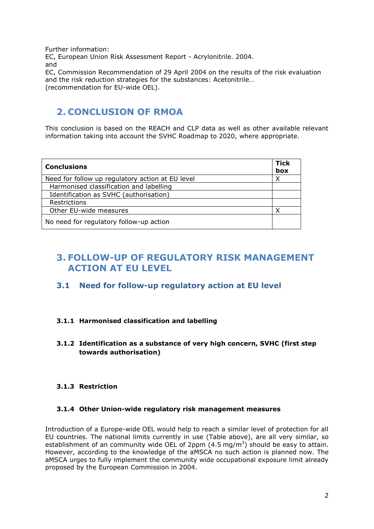Further information: EC, European Union Risk Assessment Report - Acrylonitrile. 2004. and EC, Commission Recommendation of 29 April 2004 on the results of the risk evaluation and the risk reduction strategies for the substances: Acetonitrile… (recommendation for EU-wide OEL).

## **2. CONCLUSION OF RMOA**

This conclusion is based on the REACH and CLP data as well as other available relevant information taking into account the SVHC Roadmap to 2020, where appropriate.

| <b>Conclusions</b>                               | <b>Tick</b><br>box |
|--------------------------------------------------|--------------------|
| Need for follow up regulatory action at EU level |                    |
| Harmonised classification and labelling          |                    |
| Identification as SVHC (authorisation)           |                    |
| Restrictions                                     |                    |
| Other EU-wide measures                           |                    |
| No need for regulatory follow-up action          |                    |

## **3. FOLLOW-UP OF REGULATORY RISK MANAGEMENT ACTION AT EU LEVEL**

## **3.1 Need for follow-up regulatory action at EU level**

### **3.1.1 Harmonised classification and labelling**

### **3.1.2 Identification as a substance of very high concern, SVHC (first step towards authorisation)**

### **3.1.3 Restriction**

### **3.1.4 Other Union-wide regulatory risk management measures**

Introduction of a Europe-wide OEL would help to reach a similar level of protection for all EU countries. The national limits currently in use (Table above), are all very similar, so establishment of an community wide OEL of 2ppm  $(4.5 \text{ mg/m}^3)$  should be easy to attain. However, according to the knowledge of the aMSCA no such action is planned now. The aMSCA urges to fully implement the community wide occupational exposure limit already proposed by the European Commission in 2004.